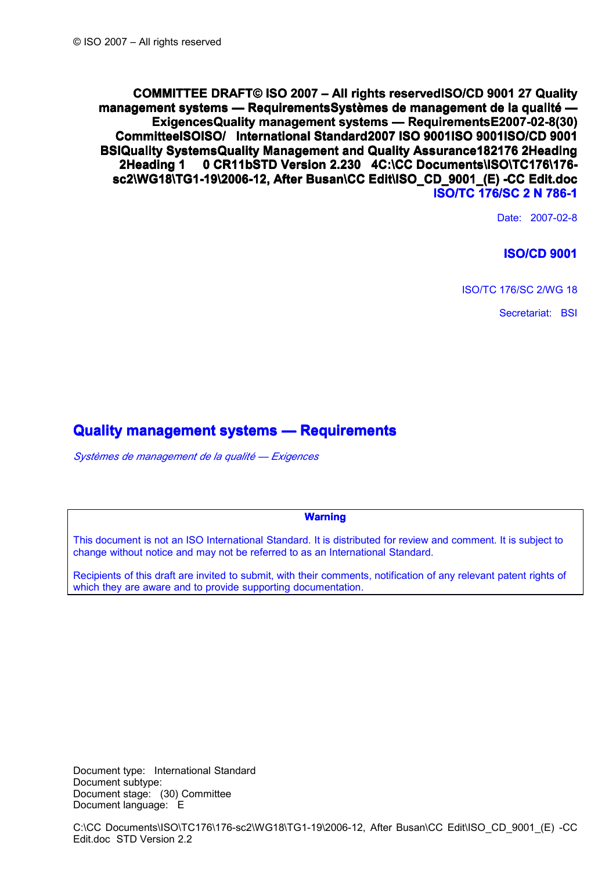**COMMITTEE DRAFT © ISO 2007 – All rights reserved ISO/CD 9001 27 Quality management systems — RequirementsSystèmes de management de la qualité — ExigencesQuality management systems - RequirementsE2007-02-8(30) Committee ISO ISO/ International Standard 2007 ISO 9001 ISO 9001 ISO/CD 9001 BSI Quality Systems Quality Management and Quality Assurance 18 2 176 2 Heading 2 Heading 1 0 CR11b STD Version 2.2 30 4 C:\CC Documents\ISO\TC176\176 sc2\WG18\TG1-19\2006-12, sc2\WG18\TG1-19\2006-12, After Busan\CC Busan\CC Edit\ISO\_CD\_9001\_(E) Edit\ISO\_CD\_9001\_(E) -CC Edit.doc Edit.doc ISO/ TC 176 /SC 2 N 786-1**

Date: 2007-02-8

## **ISO/CD 9001**

ISO/TC 176/SC 2/WG 18

Secretariat: BSI

# **Quality management systems — Requirements**

*Systèmes de management de la qualité — Exigences*

### **Warning Warning**

This document is not an ISO International Standard. It is distributed for review and comment. It is subject to change without notice and may not be referred to as an International Standard.

Recipients of this draft are invited to submit, with their comments, notification of any relevant patent rights of which they are aware and to provide supporting documentation.

Document type: International Standard Document subtype: Document stage: (30) Committee Document language: E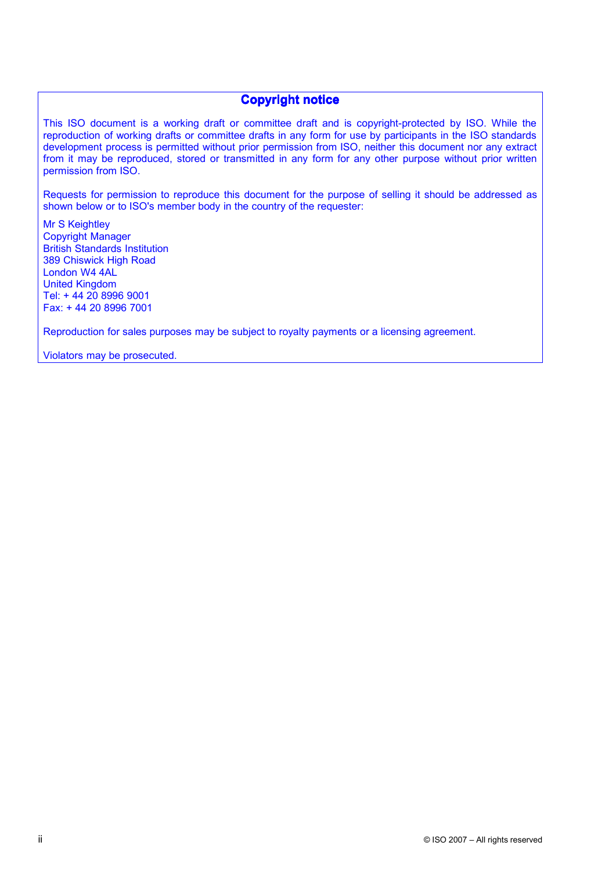## **Copyright notice**

This ISO document is <sup>a</sup> working draft or committee draft and is copyright-protected by ISO. While the reproduction of working drafts or committee drafts in any form for use by participants in the ISO standards development process is permitted without prior permission from ISO, neither this document nor any extract from it may be reproduced, stored or transmitted in any form for any other purpose without prior written permission from ISO.

Requests for permission to reproduce this document for the purpose of selling it should be addressed as shown below or to ISO's member body in the country of the requester:

Mr S Keightley Copyright Manager British Standards Institution 389 Chiswick High Road London W4 4AL United Kingdom Tel: <sup>+</sup> 44 20 8996 9001 Fax: <sup>+</sup> 44 20 8996 7001

Reproduction for sales purposes may be subject to royalty payments or <sup>a</sup> licensing agreement.

Violators may be prosecuted.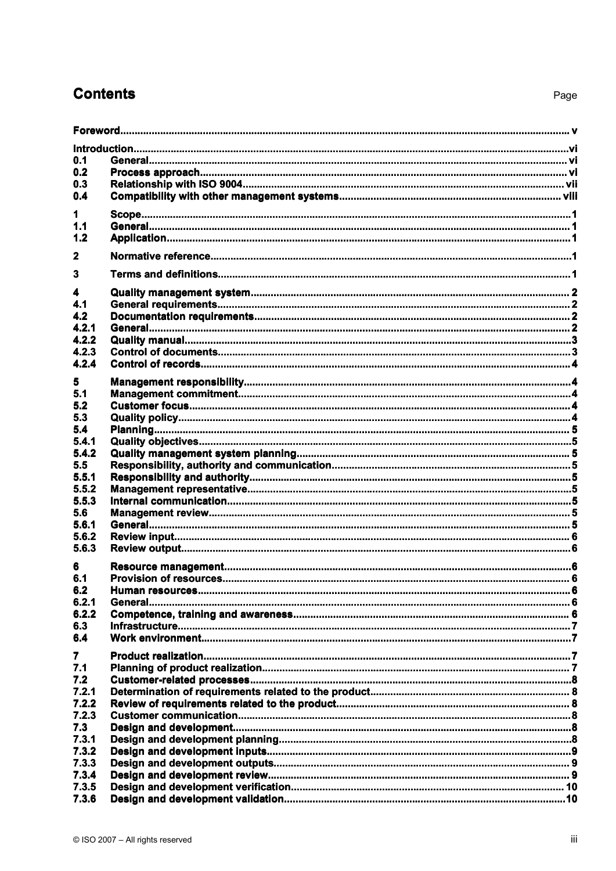# **Contents**

| 0.1            |  |  |  |  |  |  |
|----------------|--|--|--|--|--|--|
| 0.2            |  |  |  |  |  |  |
| 0.3            |  |  |  |  |  |  |
| 0.4            |  |  |  |  |  |  |
|                |  |  |  |  |  |  |
| 1.             |  |  |  |  |  |  |
| 1.1            |  |  |  |  |  |  |
| 1.2            |  |  |  |  |  |  |
| $\mathbf{2}$   |  |  |  |  |  |  |
|                |  |  |  |  |  |  |
| 3              |  |  |  |  |  |  |
| 4              |  |  |  |  |  |  |
| 4.1            |  |  |  |  |  |  |
| 4.2            |  |  |  |  |  |  |
| 4.2.1          |  |  |  |  |  |  |
| 4.2.2          |  |  |  |  |  |  |
| 4.2.3          |  |  |  |  |  |  |
| 4.2.4          |  |  |  |  |  |  |
| 5              |  |  |  |  |  |  |
| 5.1            |  |  |  |  |  |  |
|                |  |  |  |  |  |  |
| 5.2            |  |  |  |  |  |  |
| 5.3            |  |  |  |  |  |  |
| 5.4            |  |  |  |  |  |  |
| 5.4.1          |  |  |  |  |  |  |
| 5.4.2          |  |  |  |  |  |  |
| 5.5            |  |  |  |  |  |  |
| 5.5.1          |  |  |  |  |  |  |
| 5.5.2          |  |  |  |  |  |  |
| 5.5.3          |  |  |  |  |  |  |
| 5.6            |  |  |  |  |  |  |
| 5.6.1          |  |  |  |  |  |  |
| 5.6.2          |  |  |  |  |  |  |
| 5.6.3          |  |  |  |  |  |  |
| 6              |  |  |  |  |  |  |
| 6.1            |  |  |  |  |  |  |
| 6.2            |  |  |  |  |  |  |
| 6.2.1          |  |  |  |  |  |  |
|                |  |  |  |  |  |  |
| 6.2.2          |  |  |  |  |  |  |
| 6.3            |  |  |  |  |  |  |
| 6.4            |  |  |  |  |  |  |
| $\overline{7}$ |  |  |  |  |  |  |
| 7.1            |  |  |  |  |  |  |
| 7.2            |  |  |  |  |  |  |
| 7.2.1          |  |  |  |  |  |  |
| 7.2.2          |  |  |  |  |  |  |
| 7.2.3          |  |  |  |  |  |  |
| 7.3            |  |  |  |  |  |  |
| 7.3.1          |  |  |  |  |  |  |
| 7.3.2          |  |  |  |  |  |  |
|                |  |  |  |  |  |  |
| 7.3.3          |  |  |  |  |  |  |
| 7.3.4          |  |  |  |  |  |  |
| 7.3.5          |  |  |  |  |  |  |
| 7.3.6          |  |  |  |  |  |  |

Page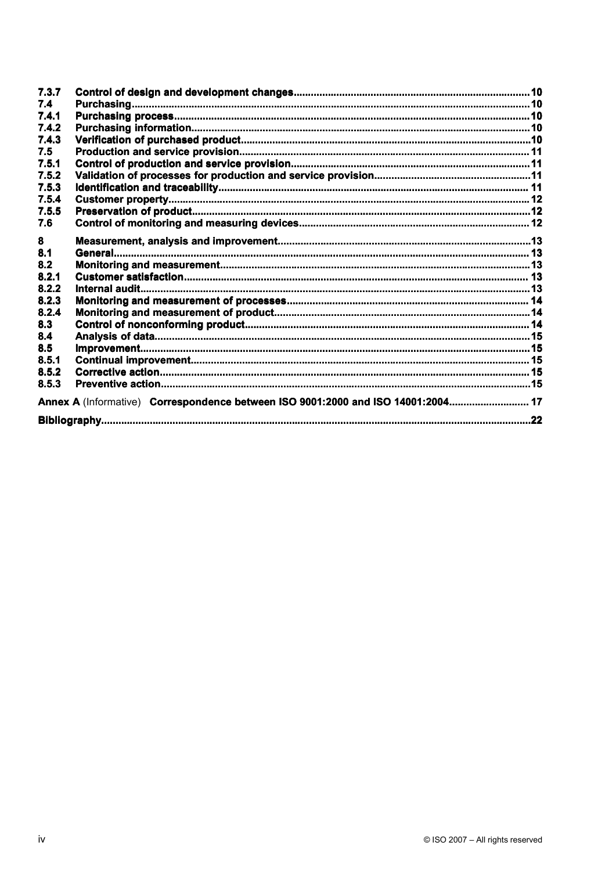| 7.3.7                                                                            |  |  |  |  |  |
|----------------------------------------------------------------------------------|--|--|--|--|--|
| 7.4                                                                              |  |  |  |  |  |
| 7.4.1                                                                            |  |  |  |  |  |
| 7.4.2                                                                            |  |  |  |  |  |
| 7.4.3                                                                            |  |  |  |  |  |
| 7.5                                                                              |  |  |  |  |  |
| 7.5.1                                                                            |  |  |  |  |  |
| 7.5.2                                                                            |  |  |  |  |  |
| 7.5.3                                                                            |  |  |  |  |  |
| 7.5.4                                                                            |  |  |  |  |  |
| 7.5.5                                                                            |  |  |  |  |  |
| 7.6                                                                              |  |  |  |  |  |
| 8                                                                                |  |  |  |  |  |
| 8.1                                                                              |  |  |  |  |  |
| 8.2                                                                              |  |  |  |  |  |
| 8.2.1                                                                            |  |  |  |  |  |
| 8.2.2                                                                            |  |  |  |  |  |
| 8.2.3                                                                            |  |  |  |  |  |
| 8.2.4                                                                            |  |  |  |  |  |
| 8.3                                                                              |  |  |  |  |  |
| 8.4                                                                              |  |  |  |  |  |
| 8.5                                                                              |  |  |  |  |  |
| 8.5.1                                                                            |  |  |  |  |  |
| 8.5.2                                                                            |  |  |  |  |  |
| 8.5.3                                                                            |  |  |  |  |  |
| Annex A (Informative) Correspondence between ISO 9001:2000 and ISO 14001:2004 17 |  |  |  |  |  |
|                                                                                  |  |  |  |  |  |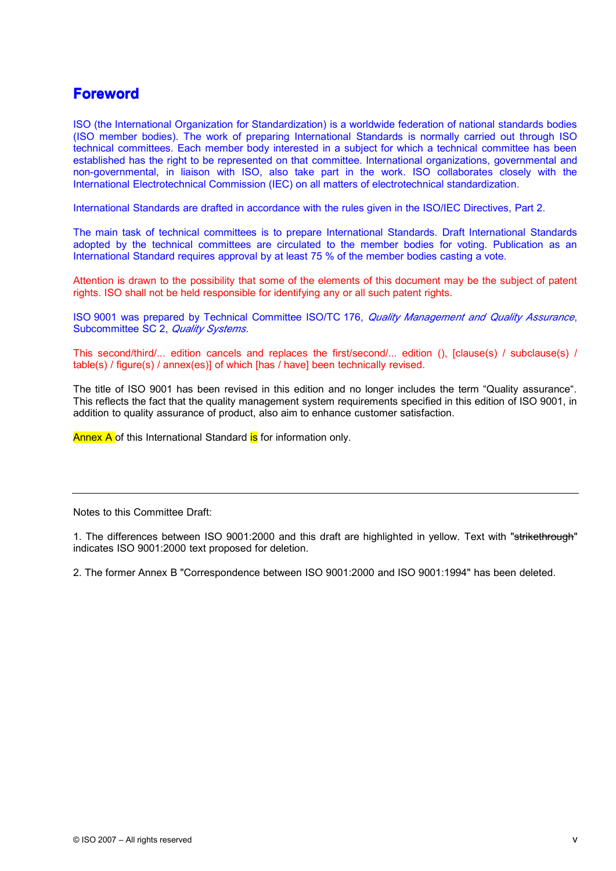# **Foreword Foreword**

ISO (the International Organization for Standardization) is <sup>a</sup> worldwide federation of national standards bodies (ISO member bodies). The work of preparing International Standards is normally carried out through ISO technical committees. Each member body interested in <sup>a</sup> subject for which <sup>a</sup> technical committee has been established has the right to be represented on that committee. International organizations, governmental and non-governmental, in liaison with ISO, also take part in the work. ISO collaborates closely with the International Electrotechnical Commission (IEC) on all matters of electrotechnical standardization.

International Standards are drafted in accordance with the rules given in the ISO/IEC Directives, Part 2.

The main task of technical committees is to prepare International Standards. Draft International Standards adopted by the technical committees are circulated to the member bodies for voting. Publication as an International Standard requires approval by at least 75 % of the member bodies casting <sup>a</sup> vote.

Attention is drawn to the possibility that some of the elements of this document may be the subject of patent rights. ISO shall not be held responsible for identifying any or all such patent rights.

ISO 9001 was prepared by Technical Committee ISO/TC 176, *Quality Management and Quality Assurance*, Subcommittee SC 2, *Quality Systems*.

This second/third/... edition cancels and replaces the first/second/... edition (), [clause(s) / subclause(s) / table(s) / figure(s) / annex(es)] of which [has / have] been technically revised.

The title of ISO 9001 has been revised in this edition and no longer includes the term "Quality assurance". This reflects the fact that the quality management system requirements specified in this edition of ISO 9001, in addition to quality assurance of product, also aim to enhance customer satisfaction.

Annex A of this International Standard is for information only.

Notes to this Committee Draft:

1. The differences between ISO 9001:2000 and this draft are highlighted in yellow. Text with "strikethrough" indicates ISO 9001:2000 text proposed for deletion.

2. The former Annex B "Correspondence between ISO9001:2000 and ISO 9001:1994" has been deleted.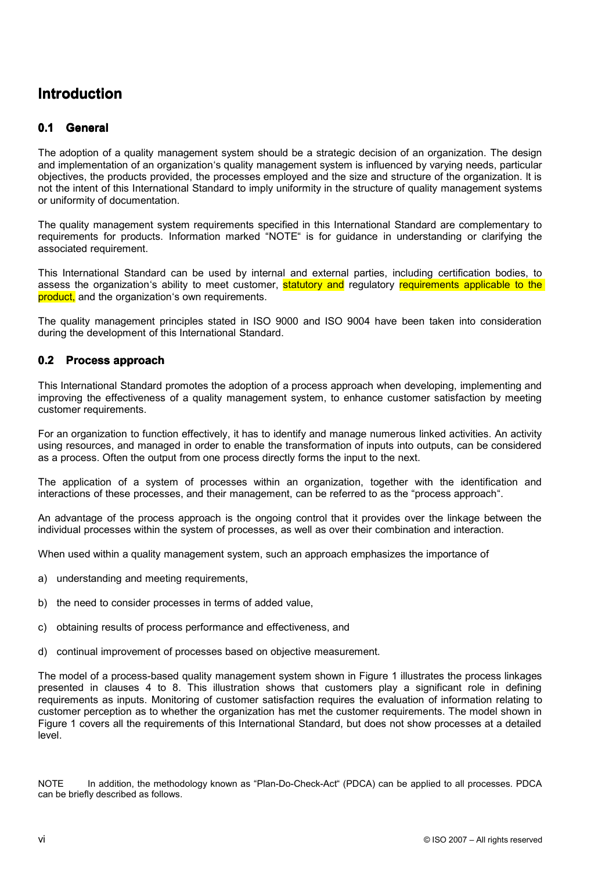# **Introduction Introduction**

#### **0.1 General General**

The adoption of <sup>a</sup> quality management system should be <sup>a</sup> strategic decision of an organization. The design and implementation of an organization's quality management system is influenced by varying needs, particular objectives, the products provided, the processes employed and the size and structure of the organization. lt is not the intent of this International Standard to imply uniformity in the structure of quality management systems or uniformity of documentation.

The quality management system requirements specified in this International Standard are complementary to requirements for products. Information marked "NOTE" is for guidance in understanding or clarifying the associated requirement.

This International Standard can be used by internal and external parties, including certification bodies, to assess the organization's ability to meet customer, statutory and regulatory requirements applicable to the product, and the organization's own requirements.

The quality management principles stated in ISO 9000 and ISO 9004 have been taken into consideration during the development of this International Standard.

## **0.2 Process Process approach approach**

This International Standard promotes the adoption of <sup>a</sup> process approach when developing, implementing and improving the effectiveness of <sup>a</sup> quality management system, to enhance customer satisfaction by meeting customer requirements.

For an organization to function effectively, it has to identify and manage numerous linked activities. An activity using resources, and managed in order to enable the transformation of inputs into outputs, can be considered as <sup>a</sup> process. Often the output from one process directly forms the input to the next.

The application of <sup>a</sup> system of processes within an organization, together with the identification and interactions of these processes, and their management, can be referred to as the "process approach".

An advantage of the process approach is the ongoing control that it provides over the linkage between the individual processes within the system of processes, as well as over their combination and interaction.

When used within <sup>a</sup> quality management system, such an approach emphasizes the importance of

- a) understanding and meeting requirements,
- b) the need to consider processes in terms of added value,
- c) obtaining results of process performance and effectiveness, and
- d) continual improvement of processes based on objective measurement.

The model of <sup>a</sup> process-based quality management system shown in Figure 1 illustrates the process linkages presented in clauses 4 to 8. This illustration shows that customers play <sup>a</sup> significant role in defining requirements as inputs. Monitoring of customer satisfaction requires the evaluation of information relating to customer perception as to whether the organization has met the customer requirements. The model shown in Figure 1 covers all the requirements of this International Standard, but does not show processes at <sup>a</sup> detailed level.

NOTE In addition, the methodology known as "Plan-Do-Check-Act" (PDCA) can be applied to all processes. PDCA can be briefly described as follows.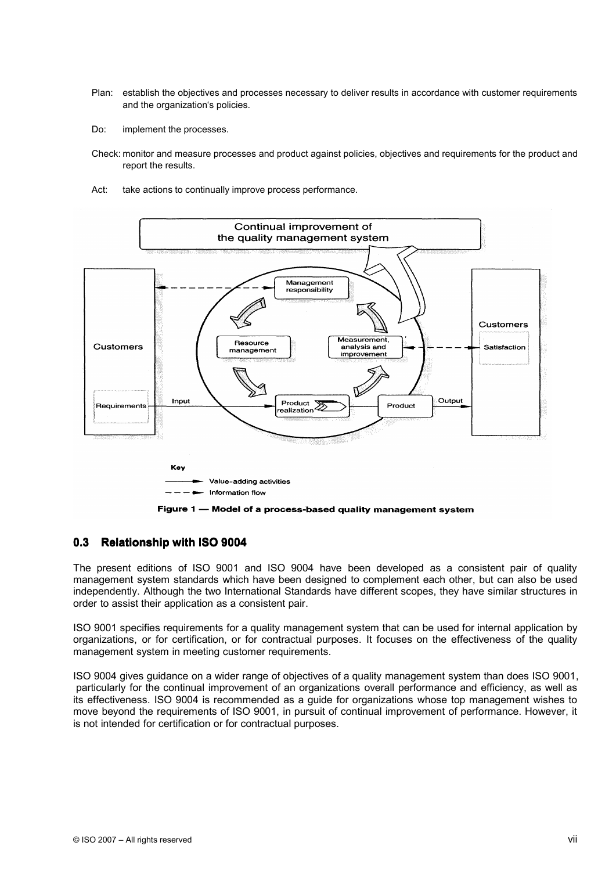- Plan: establish the objectives and processes necessary to deliver results in accordance with customer requirements and the organization's policies.
- Do: implement the processes.
- Check: monitor and measure processes and product against policies, objectives and requirements for the product and report the results.
- Act: take actions to continually improve process performance.



Figure 1 - Model of a process-based quality management system

## **0.3 Relationship Relationship with ISO 9004**

The present editions of ISO 9001 and ISO 9004 have been developed as <sup>a</sup> consistent pair of quality management system standards which have been designed to complement each other, but can also be used independently. Although the two International Standards have different scopes, they have similar structures in order to assist their application as <sup>a</sup> consistent pair.

ISO 9001 specifies requirements for <sup>a</sup> quality management system that can be used for internal application by organizations, or for certification, or for contractual purposes. It focuses on the effectiveness of the quality management system in meeting customer requirements.

ISO 9004 gives guidance on <sup>a</sup> wider range of objectives of <sup>a</sup> quality management system than does ISO 9001, particularly for the continual improvement of an organizations overall performance and efficiency, as well as its effectiveness. ISO 9004 is recommended as <sup>a</sup> guide for organizations whose top management wishes to move beyond the requirements of ISO 9001, in pursuit of continual improvement of performance. However, it is not intended for certification or for contractual purposes.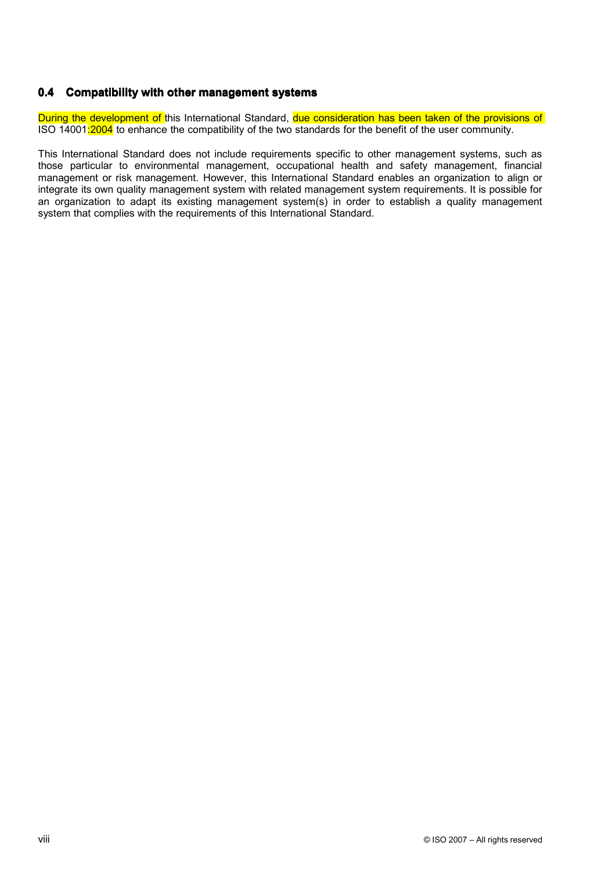## **0.4 Compatibility Compatibility with other management management systems systems**

During the development of this International Standard, due consideration has been taken of the provisions of ISO 14001:2004 to enhance the compatibility of the two standards for the benefit of the user community.

This International Standard does not include requirements specific to other management systems, such as those particular to environmental management, occupational health and safety management, financial management or risk management. However, this International Standard enables an organization to align or integrate its own quality management system with related management system requirements. It is possible for an organization to adapt its existing management system(s) in order to establish <sup>a</sup> quality management system that complies with the requirements of this International Standard.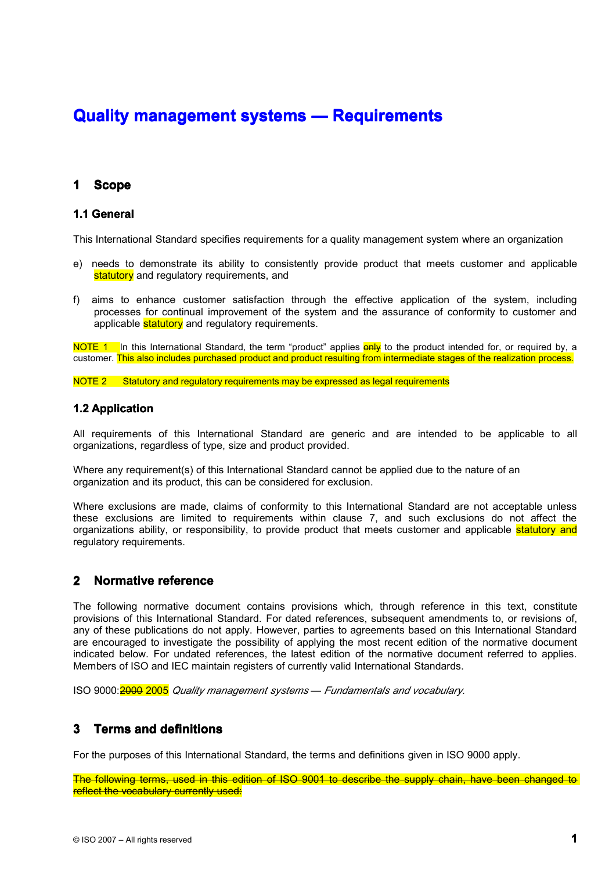# **Quality Quality management management systems systems — Requirements Requirements**

#### **1 Scope**

## **1.1 General**

This International Standard specifies requirements for <sup>a</sup> quality management system where an organization

- e) needs to demonstrate its ability to consistently provide product that meets customer and applicable statutory and regulatory requirements, and
- f) aims to enhance customer satisfaction through the effective application of the system, including processes for continual improvement of the system and the assurance of conformity to customer and applicable **statutory** and regulatory requirements.

NOTE 1 In this International Standard, the term "product" applies **only** to the product intended for, or required by, a customer. This also includes purchased product and product resulting from intermediate stages of the realization process.

NOTE 2 Statutory and regulatory requirements may be expressed as legal requirements

## **1.2 Application**

All requirements of this International Standard are generic and are intended to be applicable to all organizations, regardless of type, size and product provided.

Where any requirement(s) of this International Standard cannot be applied due to the nature of an organization and its product, this can be considered for exclusion.

Where exclusions are made, claims of conformity to this International Standard are not acceptable unless these exclusions are limited to requirements within clause 7, and such exclusions do not affect the organizations ability, or responsibility, to provide product that meets customer and applicable statutory and regulatory requirements.

#### **2 Normative reference**

The following normative document contains provisions which, through reference in this text, constitute provisions of this International Standard. For dated references, subsequent amendments to, or revisions of, any of these publications do not apply. However, parties to agreements based on this International Standard are encouraged to investigate the possibility of applying the most recent edition of the normative document indicated below. For undated references, the latest edition of the normative document referred to applies. Members of ISO and IEC maintain registers of currently valid International Standards.

ISO 9000:2000 2005 *Quality management systems* — *Fundamentals and vocabulary.*

#### **3 Terms and definitions**

For the purposes of this International Standard, the terms and definitions given in ISO 9000 apply.

The following terms, used in this edition of ISO 9001 to describe the supply chain, have been changed to reflect the vocabulary currently used: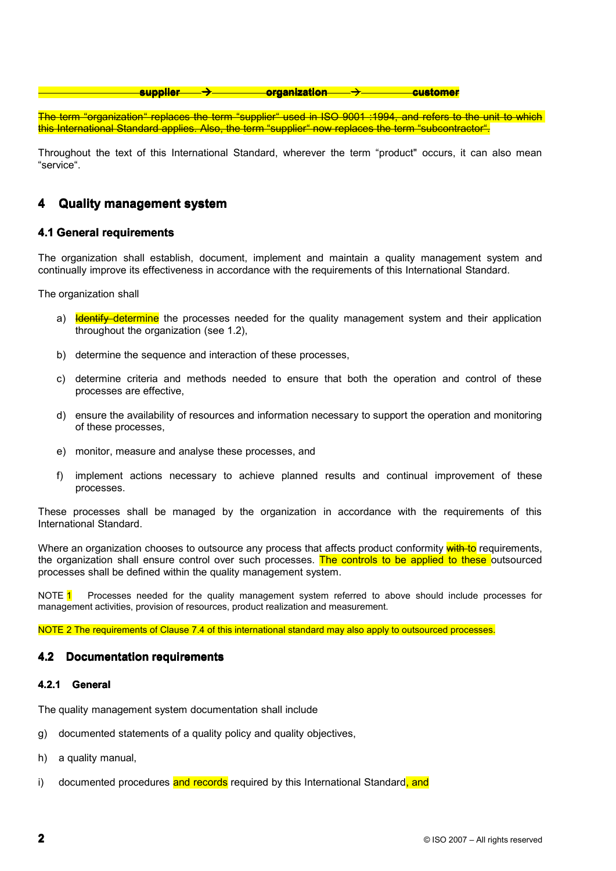### **supplier supplier organization organization customer customer**

The term "organization" replaces the term "supplier" used in ISO 9001 :1994, and refers to the unit to which this International Standard applies. Also, the term "supplier" now replaces the term "subcontractor".

Throughout the text of this International Standard, wherever the term "product" occurs, it can also mean "service".

#### **4 Quality Quality management management system**

## **4.1 General requirements**

The organization shall establish, document, implement and maintain <sup>a</sup> quality management system and continually improve its effectiveness in accordance with the requirements of this International Standard.

The organization shall

- a) **Identify determine** the processes needed for the quality management system and their application throughout the organization (see 1.2),
- b) determine the sequence and interaction of these processes,
- c) determine criteria and methods needed to ensure that both the operation and control of these processes are effective,
- d) ensure the availability of resources and information necessary to support the operation and monitoring of these processes,
- e) monitor, measure and analyse these processes, and
- f) implement actions necessary to achieve planned results and continual improvement of these processes.

These processes shall be managed by the organization in accordance with the requirements of this International Standard.

Where an organization chooses to outsource any process that affects product conformity with to requirements, the organization shall ensure control over such processes. The controls to be applied to these outsourced processes shall be defined within the quality management system.

NOTE 1 Processes needed for the quality management system referred to above should include processes for management activities, provision of resources, product realization and measurement.

NOTE 2 The requirements of Clause 7.4 of this international standard may also apply to outsourced processes.

## **4.2 Documentation requirements**

#### **4.2.1 General**

The quality management system documentation shall include

- g) documented statements of <sup>a</sup> quality policy and quality objectives,
- h) <sup>a</sup> quality manual,
- i) documented procedures and records required by this International Standard, and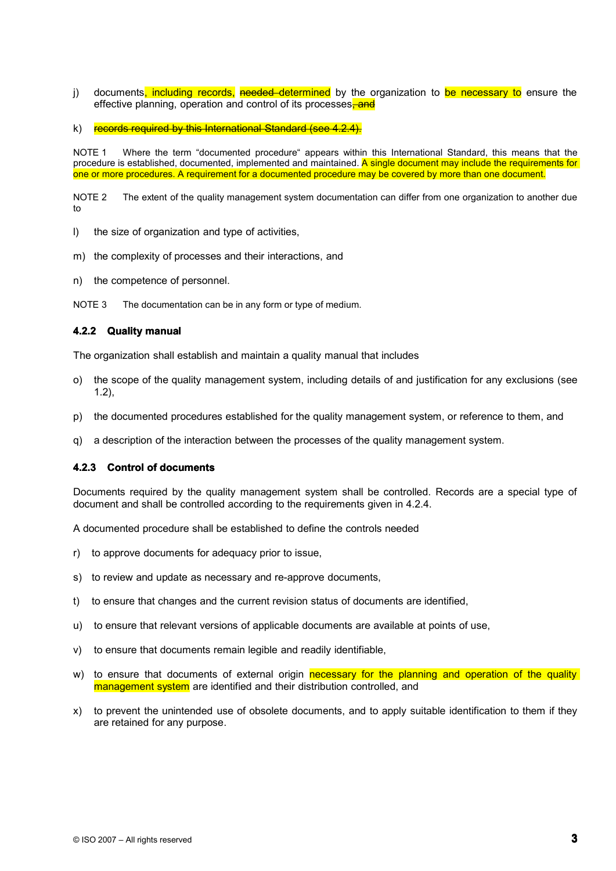- j) documents, including records, needed determined by the organization to be necessary to ensure the effective planning, operation and control of its processes. and
- k) records required by this International Standard (see 4.2.4).

NOTE 1 Where the term "documented procedure" appears within this International Standard, this means that the procedure is established, documented, implemented and maintained. A single document may include the requirements for one or more procedures. A requirement for <sup>a</sup> documented procedure may be covered by more than one document.

NOTE 2 The extent of the quality management system documentation can differ from one organization to another due to

- l) the size of organization and type of activities,
- m) the complexity of processes and their interactions, and
- n) the competence of personnel.

NOTE 3 The documentation can be in any form or type of medium.

## **4.2.2 Quality manual**

The organization shall establish and maintain <sup>a</sup> quality manual that includes

- o) the scope of the quality management system, including details of and justification for any exclusions (see 1.2),
- p) the documented procedures established for the quality management system, or reference to them, and
- q) <sup>a</sup> description of the interaction between the processes of the quality management system.

### **4.2.3 Control of documents**

Documents required by the quality management system shall be controlled. Records are <sup>a</sup> special type of document and shall be controlled according to the requirements given in 4.2.4.

A documented procedure shall be established to define the controls needed

- r) to approve documents for adequacy prior to issue,
- s) to review and update as necessary and re-approve documents,
- t) to ensure that changes and the current revision status of documents are identified,
- u) to ensure that relevant versions of applicable documents are available at points of use,
- v) to ensure that documents remain legible and readily identifiable,
- w) to ensure that documents of external origin necessary for the planning and operation of the quality management system are identified and their distribution controlled, and
- x) to prevent the unintended use of obsolete documents, and to apply suitable identification to themif they are retained for any purpose.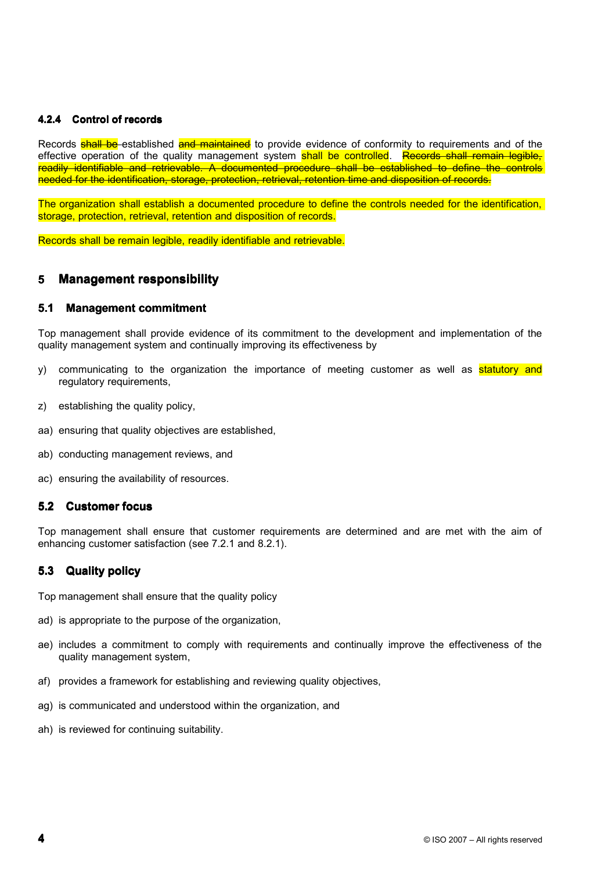## **4.2.4 Control of records**

Records **shall be** established and maintained to provide evidence of conformity to requirements and of the effective operation of the quality management system shall be controlled. Records shall remain legible, readily identifiable and retrievable. A documented procedure shall be established to define the controls needed for the identification, storage, protection, retrieval, retention time and disposition of records.

The organization shall establish <sup>a</sup> documented procedure to define the controls needed for the identification, storage, protection, retrieval, retention and disposition of records.

Records shall be remain legible, readily identifiable and retrievable.

#### **5 Management Management responsibility responsibility**

#### **5.1 Management commitment**

Top management shall provide evidence of its commitment to the development and implementation of the quality management system and continually improving its effectiveness by

- y) communicating to the organization the importance of meeting customer as well as **statutory and** regulatory requirements,
- z) establishing the quality policy,
- aa) ensuring that quality objectives are established,
- ab) conducting management reviews, and
- ac) ensuring the availability of resources.

## **5.2 Customer Customer focus**

Top management shall ensure that customer requirements are determined and are met with the aim of enhancing customer satisfaction (see 7.2.1 and 8.2.1).

#### **5.3 Quality policy**

Top management shall ensure that the quality policy

- ad) is appropriate to the purpose of the organization,
- ae) includes <sup>a</sup> commitment to comply with requirements and continually improve the effectiveness of the quality management system,
- af) provides <sup>a</sup> framework for establishing and reviewing quality objectives,
- ag) is communicated and understood within the organization, and
- ah) is reviewed for continuing suitability.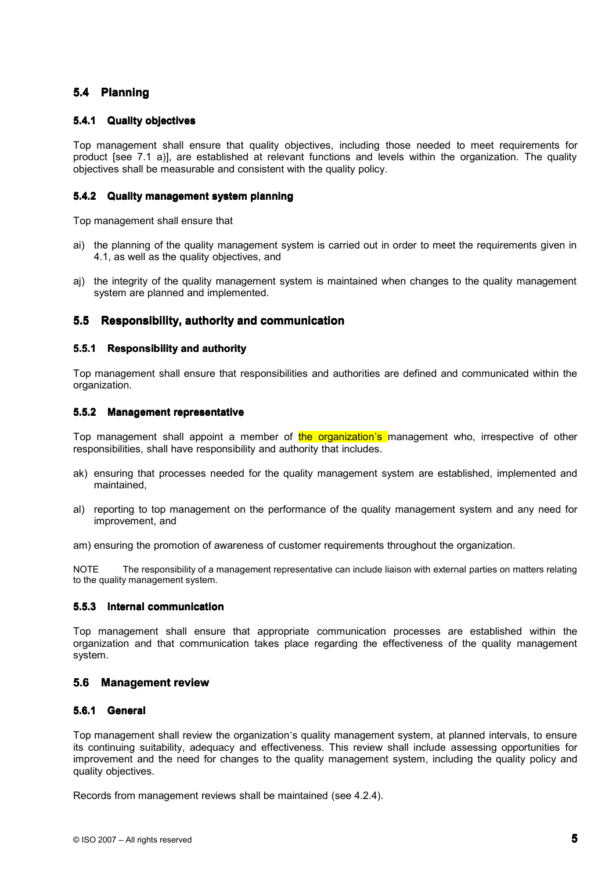## **5.4 Planning Planning**

## **5.4.1 Quality objectives**

Top management shall ensure that quality objectives, including those needed to meet requirements for product [see 7.1 a)], are established at relevant functions and levels within the organization. The quality objectives shall be measurable and consistent with the quality policy.

## **5.4.2 Quality management system planning**

Top management shall ensure that

- ai) the planning of the quality management system is carried out in order to meet the requirements given in 4.1, as well as the quality objectives, and
- aj) the integrity of the quality management system is maintained when changes to the quality management system are planned and implemented.

## **5.5 Responsibility, authority and communication**

## **5.5.1 Responsibility Responsibility and authority authority**

Top management shall ensure that responsibilities and authorities are defined and communicated within the organization.

## **5.5.2 Management representative**

Top management shall appoint a member of the organization's management who, irrespective of other responsibilities, shall have responsibility and authority that includes.

- ak) ensuring that processes needed for the quality management system are established, implemented and maintained,
- al) reporting to top management on the performance of the quality management system and any need for improvement, and

am) ensuring the promotion of awareness of customer requirements throughout the organization.

NOTE The responsibility of <sup>a</sup> management representative can include liaison with external parties on matters relating to the quality management system.

### **5.5.3 Internal communication**

Top management shall ensure that appropriate communication processes are established within the organization and that communication takes place regarding the effectiveness of the quality management system.

#### **5.6 Management review**

### **5.6.1 General**

Top management shall review the organization's quality management system, at planned intervals, to ensure its continuing suitability, adequacy and effectiveness. This review shall include assessing opportunities for improvement and the need for changes to the quality management system, including the quality policy and quality objectives.

Records from management reviews shall be maintained (see 4.2.4).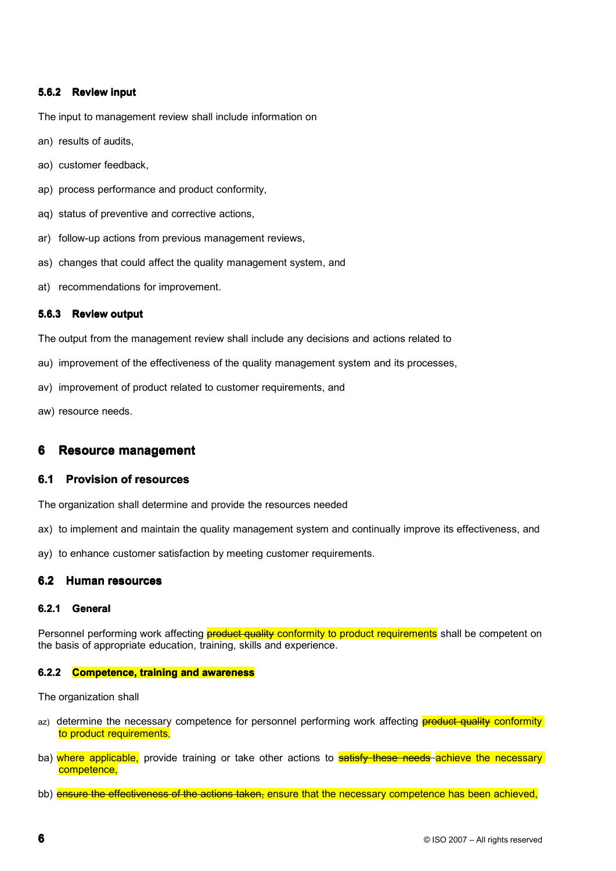## **5.6.2 Review input**

The input to management review shall include information on

- an) results of audits,
- ao) customer feedback,
- ap) process performance and product conformity,
- aq) status of preventive and corrective actions,
- ar) follow-up actions from previous management reviews,
- as) changes that could affect the quality management system, and
- at) recommendations for improvement.

## **5.6.3 Review output**

The output from the management review shall include any decisions and actions related to

- au) improvement of the effectiveness of the quality management system and its processes,
- av) improvement of product related to customer requirements, and

aw) resource needs.

#### **6 Resource management**

#### **6.1 Provision Provision of resources resources**

The organization shall determine and provide the resources needed

- ax) to implement and maintain the quality management system and continually improve its effectiveness, and
- ay) to enhance customer satisfaction by meeting customer requirements.

## **6.2 Human resources resources**

#### **6.2.1 General**

Personnel performing work affecting **product quality conformity to product requirements** shall be competent on the basis of appropriate education, training, skills and experience.

#### **6.2.2 Competence, Competence, training and awareness**

The organization shall

- az) determine the necessary competence for personnel performing work affecting **product quality conformity** to product requirements,
- ba) where applicable, provide training or take other actions to **satisfy these needs achieve the necessary** competence,
- bb) ensure the effectiveness of the actions taken, ensure that the necessary competence has been achieved,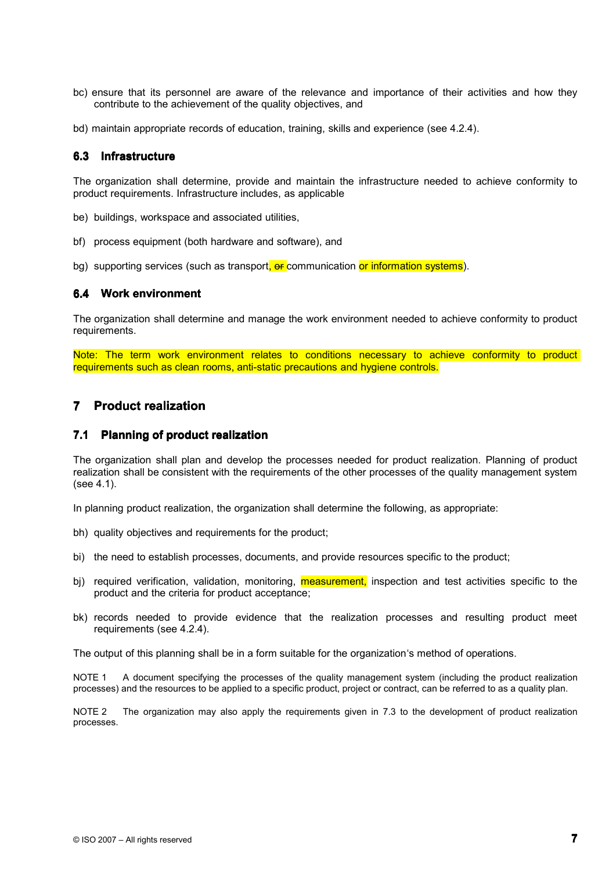- bc) ensure that its personnel are aware of the relevance and importance of their activities and how they contribute to the achievement of the quality objectives, and
- bd) maintain appropriate records of education, training, skills and experience (see 4.2.4).

## **6.3 Infrastructure**

The organization shall determine, provide and maintain the infrastructure needed to achieve conformity to product requirements. Infrastructure includes, as applicable

- be) buildings, workspace and associated utilities,
- bf) process equipment (both hardware and software), and
- bg) supporting services (such as transport, or communication or information systems).

### **6.4 Work environment**

The organization shall determine and manage the work environment needed to achieve conformity to product requirements.

Note: The term work environment relates to conditions necessary to achieve conformity to product requirements such as clean rooms, anti-static precautions and hygiene controls.

## **7 Product realization**

## **7.1 Planning Planning of product product realization realization**

The organization shall plan and develop the processes needed for product realization. Planning of product realization shall be consistent with the requirements of the other processes of the quality management system (see 4.1).

In planning product realization, the organization shall determine the following, as appropriate:

- bh) quality objectives and requirements for the product;
- bi) the need to establish processes, documents, and provide resources specific to the product;
- bj) required verification, validation, monitoring, **measurement**, inspection and test activities specific to the product and the criteria for product acceptance;
- bk) records needed to provide evidence that the realization processes and resulting product meet requirements (see 4.2.4).

The output of this planning shall be in <sup>a</sup> form suitable for the organization's method of operations.

NOTE 1 A document specifying the processes of the quality management system (including the product realization processes) and the resources to be applied to <sup>a</sup> specific product, project or contract, can be referred to as <sup>a</sup> quality plan.

NOTE 2 The organization may also apply the requirements given in 7.3 to the development of product realization processes.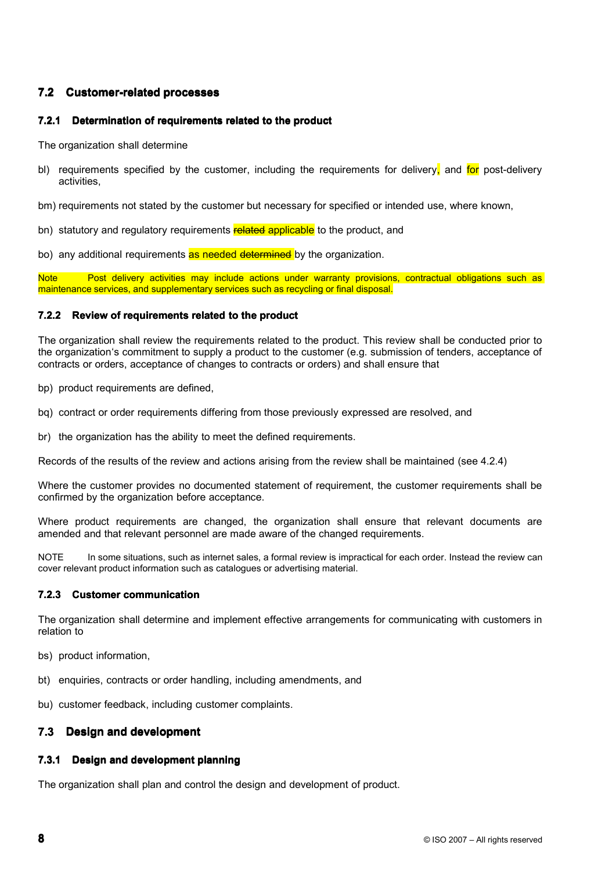## **7.2 Customer-related Customer-related processes processes**

## **7.2.1 Determination of requirements related to the product**

The organization shall determine

bl) requirements specified by the customer, including the requirements for delivery, and for post-delivery activities,

bm) requirements not stated by the customer but necessary for specified or intended use, where known,

- bn) statutory and regulatory requirements related applicable to the product, and
- bo) any additional requirements as needed determined by the organization.

Note **Post delivery activities may include actions under warranty provisions**, contractual obligations such as maintenance services, and supplementary services such as recycling or final disposal.

## **7.2.2 Review of requirements requirements related to the product product**

The organization shall review the requirements related to the product. This review shall be conducted prior to the organization's commitment to supply <sup>a</sup> product to the customer (e.g. submission of tenders, acceptance of contracts or orders, acceptance of changes to contracts or orders) and shall ensure that

- bp) product requirements are defined,
- bq) contract or order requirements differing from those previously expressed are resolved, and
- br) the organization has the ability to meet the defined requirements.

Records of the results of the review and actions arising from the review shall be maintained (see 4.2.4)

Where the customer provides no documented statement of requirement, the customer requirements shall be confirmed by the organization before acceptance.

Where product requirements are changed, the organization shall ensure that relevant documents are amended and that relevant personnel are made aware of the changed requirements.

NOTE In some situations, such as internet sales, a formal review is impractical for each order. Instead the review can cover relevant product information such as catalogues or advertising material.

#### **7.2.3 Customer communication**

The organization shall determine and implement effective arrangements for communicating with customers in relation to

- bs) product information,
- bt) enquiries, contracts or order handling, including amendments, and
- bu) customer feedback, including customer complaints.

#### **7.3 Design and development development**

## **7.3.1 Design and development planning**

The organization shall plan and control the design and development of product.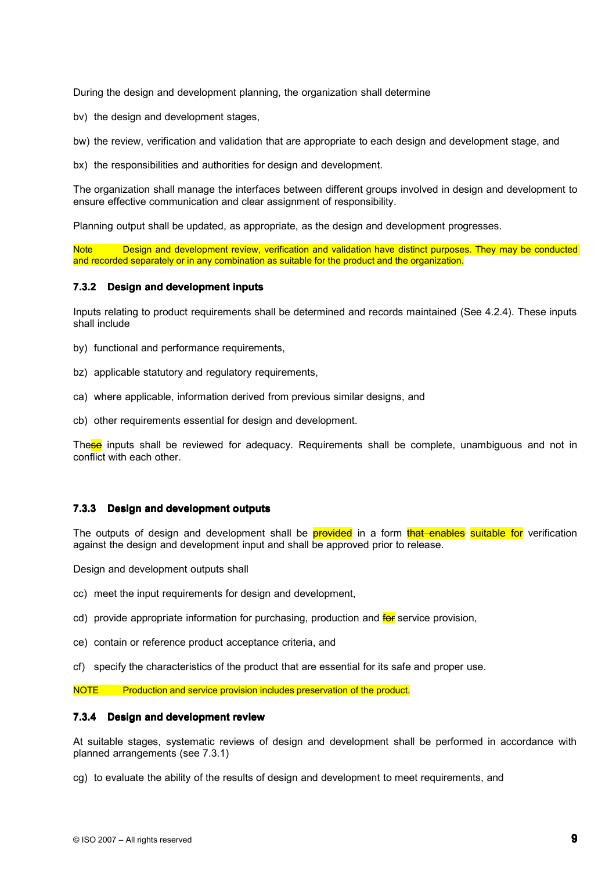During the design and development planning, the organization shall determine

bv) the design and development stages,

bw) the review, verification and validation that are appropriate to each design and development stage, and

bx) the responsibilities and authorities for design and development.

The organization shall manage the interfaces between different groups involved in design and development to ensure effective communication and clear assignment of responsibility.

Planning output shall be updated, as appropriate, as the design and development progresses.

Design and development review, verification and validation have distinct purposes. They may be conducted and recorded separately or in any combination as suitable for the product and the organization.

## **7.3.2 Design and development inputs**

Inputs relating to product requirements shall be determined and records maintained (See 4.2.4). These inputs shall include

- by) functional and performance requirements,
- bz) applicable statutory and regulatory requirements,
- ca) where applicable, information derived from previous similar designs, and
- cb) other requirements essential for design and development.

These inputs shall be reviewed for adequacy. Requirements shall be complete, unambiguous and not in conflict with each other.

## **7.3.3 Design and development outputs**

The outputs of design and development shall be **provided** in a form that enables suitable for verification against the design and development input and shall be approved prior to release.

Design and development outputs shall

- cc) meet the input requirements for design and development,
- cd) provide appropriate information for purchasing, production and **for** service provision,
- ce) contain or reference product acceptance criteria, and
- cf) specify the characteristics of the product that are essential for its safe and proper use.

NOTE Production and service provision includes preservation of the product.

### **7.3.4 Design and development development review**

At suitable stages, systematic reviews of design and development shall be performed in accordance with planned arrangements (see 7.3.1)

cg) to evaluate the ability of the results of design and development to meet requirements, and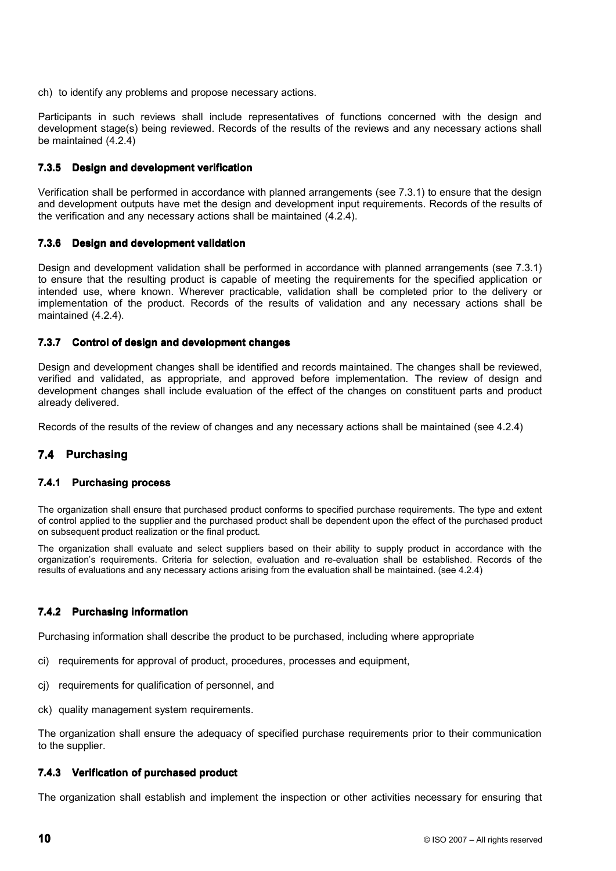ch) to identify any problems and propose necessary actions.

Participants in such reviews shall include representatives of functions concerned with the design and development stage(s) being reviewed. Records of the results of the reviews and any necessary actions shall be maintained (4.2.4)

## **7.3.5 Design and development development verification**

Verification shall be performed in accordance with planned arrangements (see 7.3.1) to ensure that the design and development outputs have met the design and development input requirements. Records of the results of the verification and any necessary actions shall be maintained (4.2.4).

## **7.3.6 Design and development development validation validation**

Design and development validation shall be performed in accordance with planned arrangements (see 7.3.1) to ensure that the resulting product is capable of meeting the requirements for the specified application or intended use, where known. Wherever practicable, validation shall be completed prior to the delivery or implementation of the product. Records of the results of validation and any necessary actions shall be maintained (4.2.4).

## **7.3.7 Control Control of design and development development changes changes**

Design and development changes shall be identified and records maintained. The changes shall be reviewed, verified and validated, as appropriate, and approved before implementation. The review of design and development changes shall include evaluation of the effect of the changes on constituent parts and product already delivered.

Records of the results of the review of changes and any necessary actions shall be maintained (see 4.2.4)

#### **7.4 Purchasing Purchasing**

## **7.4.1 Purchasing process**

The organization shall ensure that purchased product conforms to specified purchase requirements. The type and extent of control applied to the supplier and the purchased product shall be dependent uponthe effect of the purchased product on subsequent product realization or the final product.

The organization shall evaluate and select suppliers based on their ability to supply product in accordance with the organization's requirements. Criteria for selection, evaluation and re-evaluation shall be established. Records of the results of evaluations and any necessary actions arising from the evaluation shall be maintained. (see 4.2.4)

## **7.4.2 Purchasing information**

Purchasing information shall describe the product to be purchased, including where appropriate

- ci) requirements for approval of product, procedures, processes and equipment,
- cj) requirements for qualification of personnel, and
- ck) quality management system requirements.

The organization shall ensure the adequacy of specified purchase requirements prior to their communication to the supplier.

### **7.4.3 Verification of purchased purchased product product**

The organization shall establish and implement the inspection or other activities necessary for ensuring that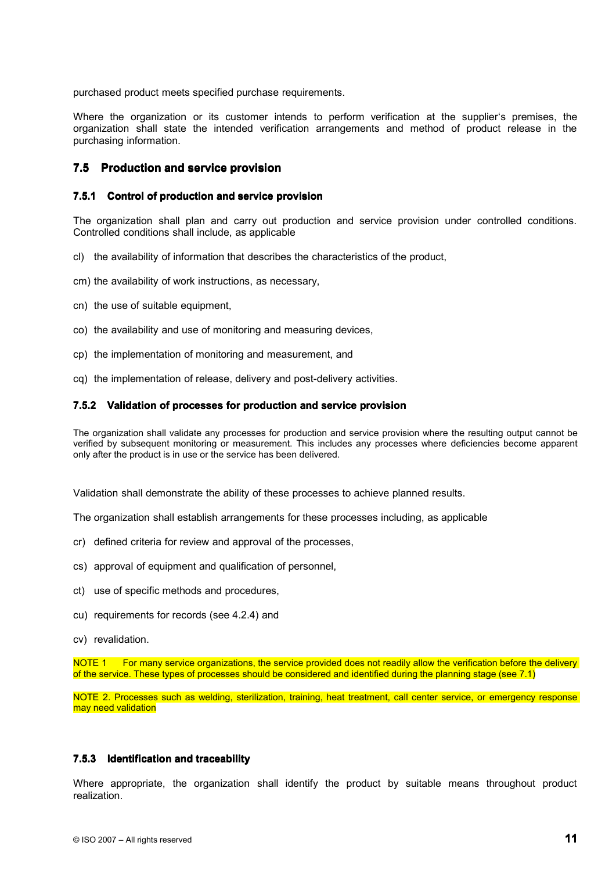purchased product meets specified purchase requirements.

Where the organization or its customer intends to perform verification at the supplier's premises, the organization shall state the intended verification arrangements and method of product release in the purchasing information.

## **7.5 Production Production and service service provision provision**

## **7.5.1 Control of production and service provision**

The organization shall plan and carry out production and service provision under controlled conditions. Controlled conditions shall include, as applicable

- cl) the availability of information that describes the characteristics of the product,
- cm) the availability of work instructions, as necessary,
- cn) the use of suitable equipment,
- co) the availability and use of monitoring and measuring devices,
- cp) the implementation of monitoring and measurement, and
- cq) the implementation of release, delivery and post-delivery activities.

### **7.5.2 Validation of processes processes for production production and service provision provision**

The organization shall validate any processes for production and service provision where the resulting output cannot be verified by subsequent monitoring or measurement. This includes any processes where deficiencies become apparent only after the product is in use or the service has been delivered.

Validation shall demonstrate the ability of these processes to achieve planned results.

The organization shall establish arrangements for these processes including, as applicable

- cr) defined criteria for review and approval of the processes,
- cs) approval of equipment and qualification of personnel,
- ct) use of specific methods and procedures,
- cu) requirements for records (see 4.2.4) and
- cv) revalidation.

NOTE 1 For many service organizations, the service provided does not readily allow the verification before the delivery of the service. These types of processes should be considered and identified during the planning stage (see 7.1)

NOTE 2. Processes such as welding, sterilization, training, heat treatment, call center service, or emergency response may need validation

### **7.5.3 Identification and traceability**

Where appropriate, the organization shall identify the product by suitable means throughout product realization.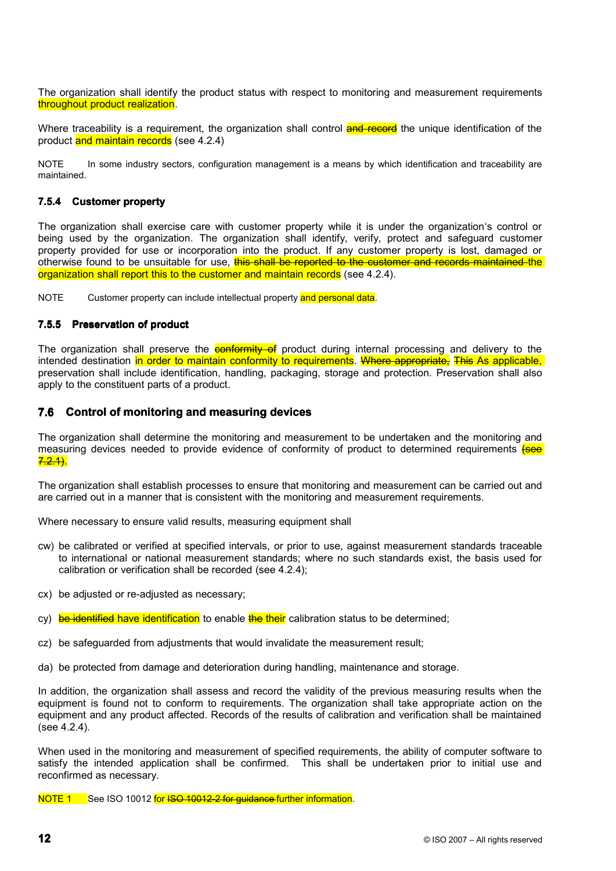The organization shall identify the product status with respect to monitoring and measurement requirements throughout product realization.

Where traceability is a requirement, the organization shall control **and record** the unique identification of the product and maintain records (see 4.2.4)

NOTE In some industry sectors, configuration management is a means by which identification and traceability are maintained.

## **7.5.4 Customer property property**

The organization shall exercise care with customer property while it is under the organization's control or being used by the organization. The organization shall identify, verify, protect and safeguard customer property provided for use or incorporation into the product. If any customer property is lost, damaged or otherwise found to be unsuitable for use, this shall be reported to the customer and records maintained the organization shall report this to the customer and maintain records (see 4.2.4).

NOTE Customer property can include intellectual property and personal data.

## **7.5.5 Preservation of product**

The organization shall preserve the **conformity of** product during internal processing and delivery to the intended destination in order to maintain conformity to requirements. Where appropriate, This As applicable, preservation shall include identification, handling, packaging, storage and protection. Preservation shall also apply to the constituent parts of <sup>a</sup> product.

## **7.6 Control Control of monitoring monitoring and measuring measuring devices devices**

The organization shall determine the monitoring and measurement to be undertaken and the monitoring and measuring devices needed to provide evidence of conformity of product to determined requirements (see  $7.2.1$ 

The organization shall establish processes to ensure that monitoring and measurement can be carried out and are carried out in <sup>a</sup> manner that is consistent with the monitoring and measurement requirements.

Where necessary to ensure valid results, measuring equipment shall

- cw) be calibrated or verified at specified intervals, or prior to use, against measurement standards traceable to international or national measurement standards; where no such standards exist, the basis used for calibration or verification shall be recorded (see 4.2.4);
- cx) be adjusted or re-adjusted as necessary;
- cy) be identified have identification to enable the their calibration status to be determined;
- cz) be safeguarded from adjustments that would invalidate the measurement result;
- da) be protected from damage and deterioration during handling, maintenance and storage.

In addition, the organization shall assess and record the validity of the previous measuring results when the equipment is found not to conform to requirements. The organization shall take appropriate action on the equipment and any product affected. Records of the results of calibration and verification shall be maintained (see 4.2.4).

When used in the monitoring and measurement of specified requirements, the ability of computer software to satisfy the intended application shall be confirmed. This shall be undertaken prior to initial use and reconfirmed as necessary.

NOTE 1 See ISO 10012 for ISO 10012-2 for guidance-further information.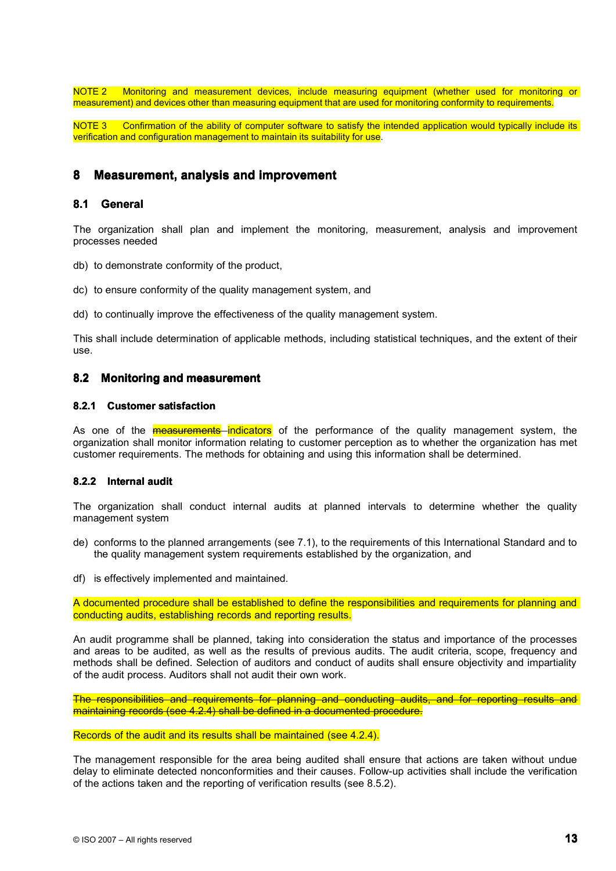NOTE 2 Monitoring and measurement devices, include measuring equipment (whether used for monitoring or measurement) and devices other than measuring equipment that are used for monitoring conformity to requirements.

NOTE 3 Confirmation of the ability of computer software to satisfy the intended application would typically include its verification and configuration management to maintain its suitability for use.

## **8 Measurement, Measurement, analysis and improvement**

## **8.1 General General**

The organization shall plan and implement the monitoring, measurement, analysis and improvement processes needed

db) to demonstrate conformity of the product,

- dc) to ensure conformity of the quality management system, and
- dd) to continually improve the effectiveness of the quality management system.

This shall include determination of applicable methods, including statistical techniques, and the extent of their use.

## **8.2 Monitoring Monitoring and measurement measurement**

### **8.2.1 Customer satisfaction**

As one of the **measurements** indicators of the performance of the quality management system, the organization shall monitor information relating to customer perception as to whether the organization has met customer requirements. The methods for obtaining and using this information shall be determined.

## **8.2.2 Internal audit**

The organization shall conduct internal audits at planned intervals to determine whether the quality management system

- de) conforms to the planned arrangements (see 7.1), to the requirements of this International Standard and to the quality management system requirements established by the organization, and
- df) is effectively implemented and maintained.

A documented procedure shall be established to define the responsibilities and requirements for planning and conducting audits, establishing records and reporting results.

An audit programme shall be planned, taking into consideration the status and importance of the processes and areas to be audited, as well as the results of previous audits. The audit criteria, scope, frequency and methods shall be defined. Selection of auditors and conduct of audits shall ensure objectivity and impartiality of the audit process. Auditors shall not audit their ownwork.

The responsibilities and requirements for planning and conducting audits, and for reporting results and maintaining records (see 4.2.4) shall be defined in <sup>a</sup> documented procedure.

Records of the audit and its results shall be maintained (see 4.2.4).

The management responsible for the area being audited shall ensure that actions are taken without undue delay to eliminate detected nonconformities and their causes. Follow-up activities shall include the verification of the actions taken and the reporting of verification results (see 8.5.2).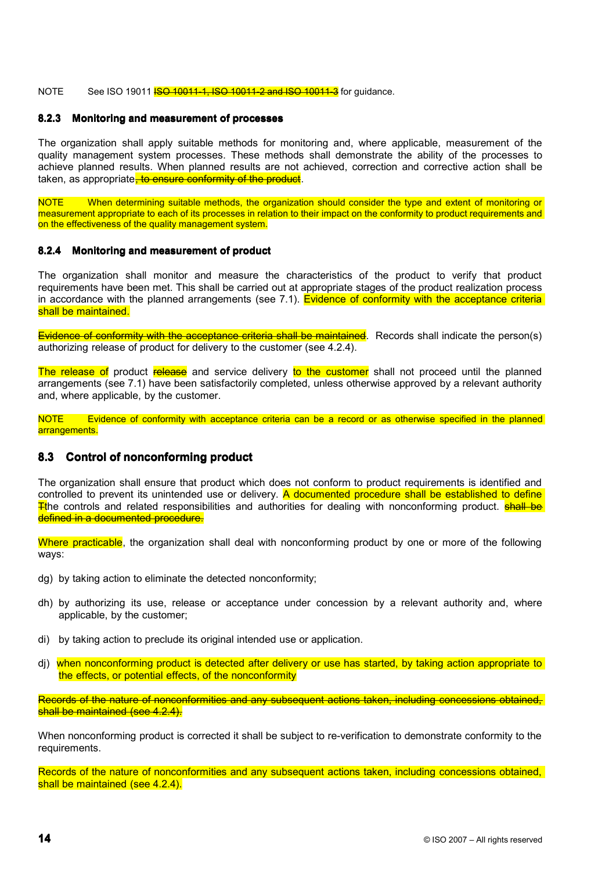NOTE See ISO 19011 **ISO 10011-1, ISO 10011-2 and ISO 10011-3** for quidance.

### **8.2.3 Monitoring and measurement of processes**

The organization shall apply suitable methods for monitoring and, where applicable, measurement of the quality management system processes. These methods shall demonstrate the ability of the processes to achieve planned results. When planned results are not achieved, correction and corrective action shall be taken, as appropriate, to ensure conformity of the product.

NOTE When determining suitable methods, the organization should consider the type and extent of monitoring or measurement appropriate to each of its processes in relation to their impact on the conformity to product requirements and on the effectiveness of the quality management system.

### **8.2.4 Monitoring and measurement of product**

The organization shall monitor and measure the characteristics of the product to verify that product requirements have been met. This shall be carried out at appropriate stages of the product realization process in accordance with the planned arrangements (see 7.1). Evidence of conformity with the acceptance criteria shall be maintained.

Evidence of conformity with the acceptance criteria shall be maintained. Records shall indicate the person(s) authorizing release of product for delivery to the customer (see 4.2.4).

The release of product release and service delivery to the customer shall not proceed until the planned arrangements (see 7.1) have been satisfactorily completed, unless otherwise approved by <sup>a</sup> relevant authority and, where applicable, by the customer.

NOTE Evidence of conformity with acceptance criteria can be a record or as otherwise specified in the planned arrangements.

## **8.3 Control of nonconforming product**

The organization shall ensure that product which does not conform to product requirements is identified and controlled to prevent its unintended use or delivery. A documented procedure shall be established to define Tthe controls and related responsibilities and authorities for dealing with nonconforming product. **shall be** defined in a documented procedure.

Where practicable, the organization shall deal with nonconforming product by one or more of the following ways:

- dg) by taking action to eliminate the detected nonconformity;
- dh) by authorizing its use, release or acceptance under concession by <sup>a</sup> relevant authority and, where applicable, by the customer;
- di) by taking action to preclude its original intended use or application.
- dj) when nonconforming product is detected after delivery or use has started, by taking action appropriate to the effects, or potential effects, of the nonconformity

Records of the nature of nonconformities and any subsequent actions taken, including concessions obtained, shall be maintained (see 4.2.4).

When nonconforming product is corrected it shall be subject to re-verification to demonstrate conformity to the requirements.

Records of the nature of nonconformities and any subsequent actions taken, including concessions obtained, shall be maintained (see 4.2.4).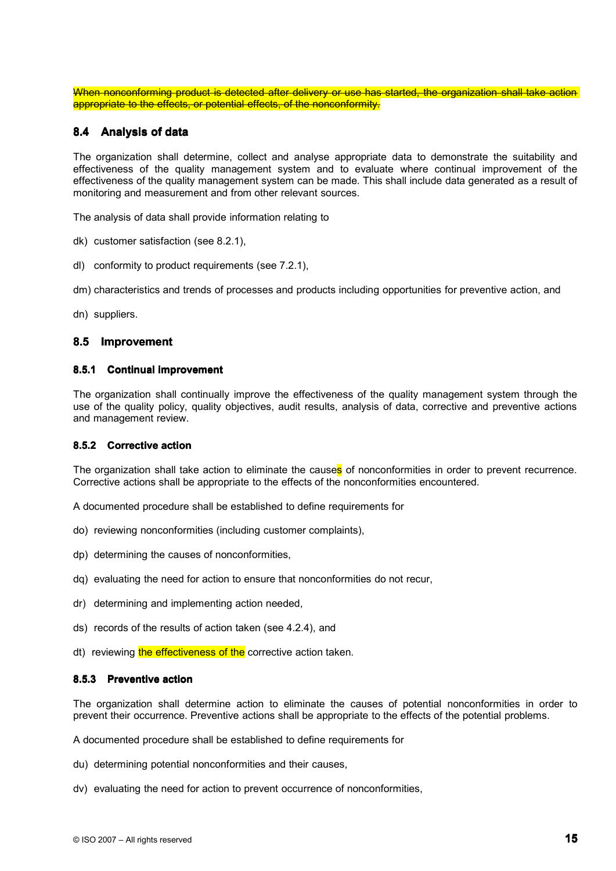When nonconforming product is detected after delivery or use has started, the organization shall take action appropriate to the effects, or potential effects, of the nonconformity.

## **8.4 Analysis Analysis of data**

The organization shall determine, collect and analyse appropriate data to demonstrate the suitability and effectiveness of the quality management system and to evaluate where continual improvement of the effectiveness of the quality management system can be made. This shall include data generated as <sup>a</sup> result of monitoring and measurement and from other relevant sources.

The analysis of data shall provide information relating to

- dk) customer satisfaction (see 8.2.1),
- dl) conformity to product requirements (see 7.2.1),

dm) characteristics and trends of processes and products including opportunities for preventive action, and

dn) suppliers.

## **8.5 Improvement Improvement**

### **8.5.1 Continual improvement**

The organization shall continually improve the effectiveness of the quality management system through the use of the quality policy, quality objectives, audit results, analysis of data, corrective and preventive actions and management review.

#### **8.5.2 Corrective action**

The organization shall take action to eliminate the causes of nonconformities in order to prevent recurrence. Corrective actions shall be appropriate to the effects of the nonconformities encountered.

A documented procedure shall be established to define requirements for

- do) reviewing nonconformities (including customer complaints),
- dp) determining the causes of nonconformities,
- dq) evaluating the need for action to ensure that nonconformities do not recur,
- dr) determining and implementing action needed,
- ds) records of the results of action taken (see 4.2.4), and
- dt) reviewing the effectiveness of the corrective action taken.

### **8.5.3 Preventive action**

The organization shall determine action to eliminate the causes of potential nonconformities in order to prevent their occurrence. Preventive actions shall be appropriate to the effects of the potential problems.

A documented procedure shall be established to define requirements for

- du) determining potential nonconformities and their causes,
- dv) evaluating the need for action to prevent occurrence of nonconformities,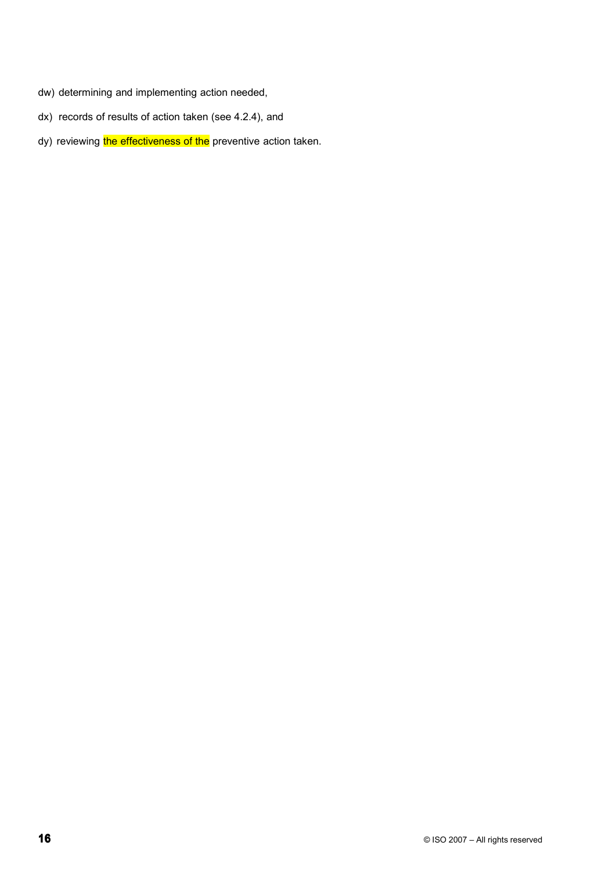- dw) determining and implementing action needed,
- dx) records of results of action taken (see 4.2.4), and
- dy) reviewing the effectiveness of the preventive action taken.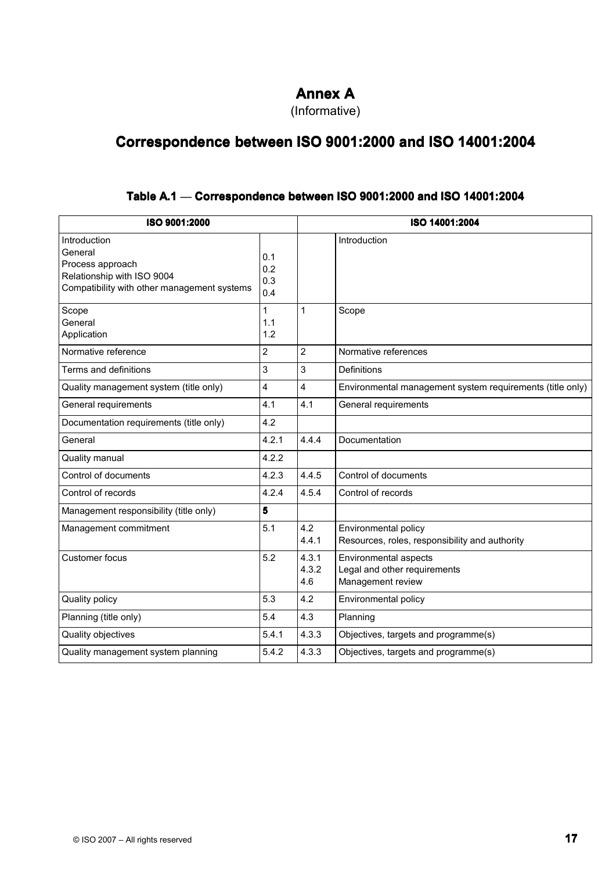# **Annex A**

(Informative)

# **Correspondence between between ISO 9001:2000 9001:2000 and ISO 14001:2004 14001:2004**

## **Table A.1** — **Correspondence Correspondence between between ISO 9001:2000 9001:2000 and ISO 14001:2004 14001:2004**

| ISO 9001:2000                                                                                                            |                          |                       | ISO 14001:2004                                                             |  |  |  |
|--------------------------------------------------------------------------------------------------------------------------|--------------------------|-----------------------|----------------------------------------------------------------------------|--|--|--|
| Introduction<br>General<br>Process approach<br>Relationship with ISO 9004<br>Compatibility with other management systems | 0.1<br>0.2<br>0.3<br>0.4 |                       | Introduction                                                               |  |  |  |
| Scope<br>General<br>Application                                                                                          | 1<br>1.1<br>1.2          | 1                     | Scope                                                                      |  |  |  |
| Normative reference                                                                                                      | $\overline{2}$           | $\overline{2}$        | Normative references                                                       |  |  |  |
| Terms and definitions                                                                                                    | 3                        | 3                     | <b>Definitions</b>                                                         |  |  |  |
| Quality management system (title only)                                                                                   | 4                        | 4                     | Environmental management system requirements (title only)                  |  |  |  |
| General requirements                                                                                                     | 4.1                      | 4.1                   | General requirements                                                       |  |  |  |
| Documentation requirements (title only)                                                                                  | 4.2                      |                       |                                                                            |  |  |  |
| General                                                                                                                  | 4.2.1                    | 4.4.4                 | Documentation                                                              |  |  |  |
| Quality manual                                                                                                           | 4.2.2                    |                       |                                                                            |  |  |  |
| Control of documents                                                                                                     | 4.2.3                    | 4.4.5                 | Control of documents                                                       |  |  |  |
| Control of records                                                                                                       | 4.2.4                    | 4.5.4                 | Control of records                                                         |  |  |  |
| Management responsibility (title only)                                                                                   | 5                        |                       |                                                                            |  |  |  |
| Management commitment                                                                                                    | 5.1                      | 4.2<br>4.4.1          | Environmental policy<br>Resources, roles, responsibility and authority     |  |  |  |
| <b>Customer focus</b>                                                                                                    | 5.2                      | 4.3.1<br>4.3.2<br>4.6 | Environmental aspects<br>Legal and other requirements<br>Management review |  |  |  |
| Quality policy                                                                                                           | 5.3                      | 4.2                   | Environmental policy                                                       |  |  |  |
| Planning (title only)                                                                                                    | 5.4                      | 4.3                   | Planning                                                                   |  |  |  |
| Quality objectives                                                                                                       | 5.4.1                    | 4.3.3                 | Objectives, targets and programme(s)                                       |  |  |  |
| Quality management system planning                                                                                       | 5.4.2                    | 4.3.3                 | Objectives, targets and programme(s)                                       |  |  |  |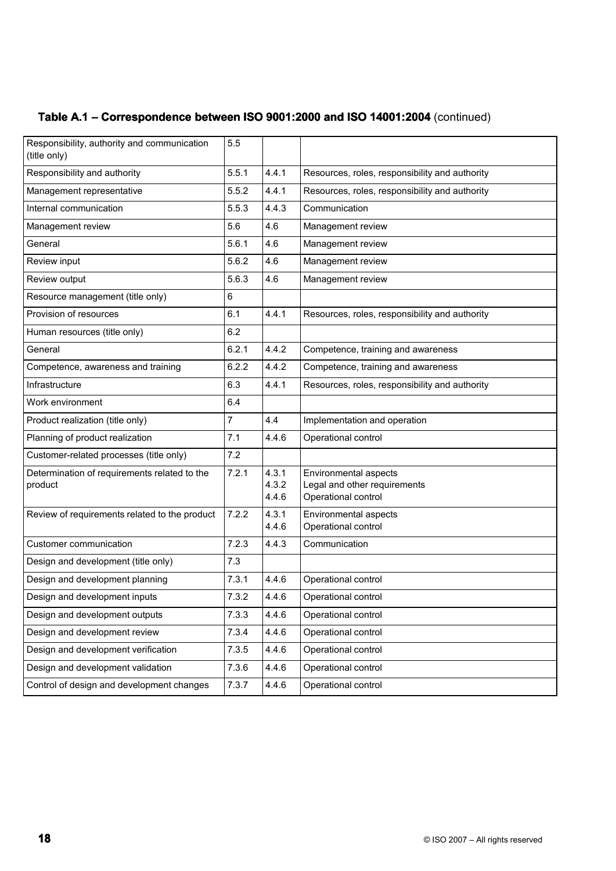| Table A.1 - Correspondence between ISO 9001:2000 and ISO 14001:2004 (continued) |  |
|---------------------------------------------------------------------------------|--|
|---------------------------------------------------------------------------------|--|

| Responsibility, authority and communication<br>(title only) | 5.5            |                         |                                                                              |
|-------------------------------------------------------------|----------------|-------------------------|------------------------------------------------------------------------------|
| Responsibility and authority                                | 5.5.1          | 4.4.1                   | Resources, roles, responsibility and authority                               |
| Management representative                                   | 5.5.2          | 4.4.1                   | Resources, roles, responsibility and authority                               |
| Internal communication                                      | 5.5.3          | 4.4.3                   | Communication                                                                |
| Management review                                           | 5.6            | 4.6                     | Management review                                                            |
| General                                                     | 5.6.1          | 4.6                     | Management review                                                            |
| Review input                                                | 5.6.2          | 4.6                     | Management review                                                            |
| Review output                                               | 5.6.3          | 4.6                     | Management review                                                            |
| Resource management (title only)                            | 6              |                         |                                                                              |
| Provision of resources                                      | 6.1            | 4.4.1                   | Resources, roles, responsibility and authority                               |
| Human resources (title only)                                | 6.2            |                         |                                                                              |
| General                                                     | 6.2.1          | 4.4.2                   | Competence, training and awareness                                           |
| Competence, awareness and training                          | 6.2.2          | 4.4.2                   | Competence, training and awareness                                           |
| Infrastructure                                              | 6.3            | 4.4.1                   | Resources, roles, responsibility and authority                               |
| Work environment                                            | 6.4            |                         |                                                                              |
| Product realization (title only)                            | $\overline{7}$ | 4.4                     | Implementation and operation                                                 |
| Planning of product realization                             | 7.1            | 4.4.6                   | Operational control                                                          |
| Customer-related processes (title only)                     | 7.2            |                         |                                                                              |
| Determination of requirements related to the<br>product     | 7.2.1          | 4.3.1<br>4.3.2<br>4.4.6 | Environmental aspects<br>Legal and other requirements<br>Operational control |
| Review of requirements related to the product               | 7.2.2          | 4.3.1<br>4.4.6          | Environmental aspects<br>Operational control                                 |
| <b>Customer communication</b>                               | 7.2.3          | 4.4.3                   | Communication                                                                |
| Design and development (title only)                         | 7.3            |                         |                                                                              |
| Design and development planning                             | 7.3.1          | 4.4.6                   | Operational control                                                          |
| Design and development inputs                               | 7.3.2          | 4.4.6                   | Operational control                                                          |
| Design and development outputs                              | 7.3.3          | 4.4.6                   | Operational control                                                          |
| Design and development review                               | 7.3.4          | 4.4.6                   | Operational control                                                          |
| Design and development verification                         | 7.3.5          | 4.4.6                   | Operational control                                                          |
| Design and development validation                           | 7.3.6          | 4.4.6                   | Operational control                                                          |
| Control of design and development changes                   | 7.3.7          | 4.4.6                   | Operational control                                                          |
|                                                             |                |                         |                                                                              |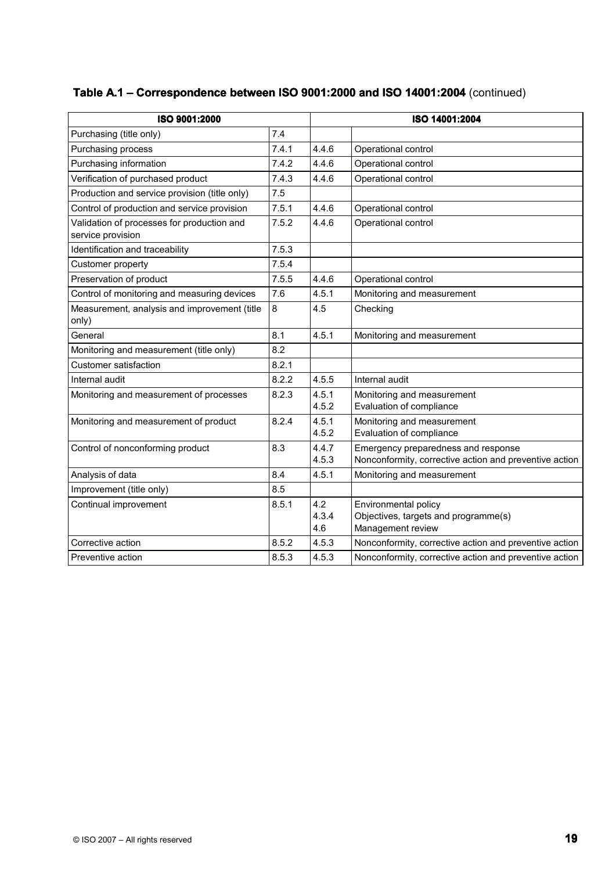| ISO 9001:2000                                                   |       |                     | ISO 14001:2004                                                                                |  |
|-----------------------------------------------------------------|-------|---------------------|-----------------------------------------------------------------------------------------------|--|
| Purchasing (title only)                                         | 7.4   |                     |                                                                                               |  |
| Purchasing process                                              | 7.4.1 | 4.4.6               | Operational control                                                                           |  |
| Purchasing information                                          | 7.4.2 | 4.4.6               | Operational control                                                                           |  |
| Verification of purchased product                               | 7.4.3 | 4.4.6               | Operational control                                                                           |  |
| Production and service provision (title only)                   | 7.5   |                     |                                                                                               |  |
| Control of production and service provision                     | 7.5.1 | 4.4.6               | Operational control                                                                           |  |
| Validation of processes for production and<br>service provision | 7.5.2 | 4.4.6               | Operational control                                                                           |  |
| Identification and traceability                                 | 7.5.3 |                     |                                                                                               |  |
| Customer property                                               | 7.5.4 |                     |                                                                                               |  |
| Preservation of product                                         | 7.5.5 | 4.4.6               | Operational control                                                                           |  |
| Control of monitoring and measuring devices                     | 7.6   | 4.5.1               | Monitoring and measurement                                                                    |  |
| Measurement, analysis and improvement (title<br>only)           | 8     | 4.5                 | Checking                                                                                      |  |
| General                                                         | 8.1   | 4.5.1               | Monitoring and measurement                                                                    |  |
| Monitoring and measurement (title only)                         | 8.2   |                     |                                                                                               |  |
| Customer satisfaction                                           | 8.2.1 |                     |                                                                                               |  |
| Internal audit                                                  | 8.2.2 | 4.5.5               | Internal audit                                                                                |  |
| Monitoring and measurement of processes                         | 8.2.3 | 4.5.1<br>4.5.2      | Monitoring and measurement<br>Evaluation of compliance                                        |  |
| Monitoring and measurement of product                           | 8.2.4 | 4.5.1<br>4.5.2      | Monitoring and measurement<br>Evaluation of compliance                                        |  |
| Control of nonconforming product                                | 8.3   | 4.4.7<br>4.5.3      | Emergency preparedness and response<br>Nonconformity, corrective action and preventive action |  |
| Analysis of data                                                | 8.4   | 4.5.1               | Monitoring and measurement                                                                    |  |
| Improvement (title only)                                        | 8.5   |                     |                                                                                               |  |
| Continual improvement                                           | 8.5.1 | 4.2<br>4.3.4<br>4.6 | Environmental policy<br>Objectives, targets and programme(s)<br>Management review             |  |
| Corrective action                                               | 8.5.2 | 4.5.3               | Nonconformity, corrective action and preventive action                                        |  |
| Preventive action                                               | 8.5.3 | 4.5.3               | Nonconformity, corrective action and preventive action                                        |  |
|                                                                 |       |                     |                                                                                               |  |

## **Table A.1 – Correspondence between ISO 9001:2000 and ISO 14001:2004** (continued)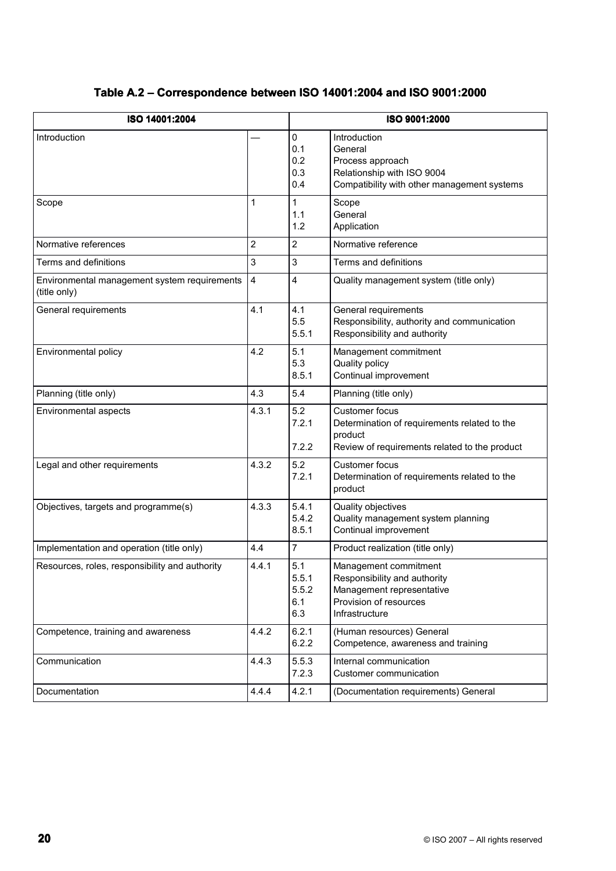| ISO 14001:2004                                               |                         |                                     | ISO 9001:2000                                                                                                                     |  |  |
|--------------------------------------------------------------|-------------------------|-------------------------------------|-----------------------------------------------------------------------------------------------------------------------------------|--|--|
| Introduction                                                 |                         | 0<br>0.1<br>0.2<br>0.3<br>0.4       | Introduction<br>General<br>Process approach<br>Relationship with ISO 9004<br>Compatibility with other management systems          |  |  |
| Scope                                                        | 1                       | $\mathbf{1}$<br>1.1<br>1.2          | Scope<br>General<br>Application                                                                                                   |  |  |
| Normative references                                         | $\overline{c}$          | $\overline{2}$                      | Normative reference                                                                                                               |  |  |
| Terms and definitions                                        | 3                       | 3                                   | Terms and definitions                                                                                                             |  |  |
| Environmental management system requirements<br>(title only) | $\overline{\mathbf{4}}$ | 4                                   | Quality management system (title only)                                                                                            |  |  |
| General requirements                                         | 4.1                     | 4.1<br>5.5<br>5.5.1                 | General requirements<br>Responsibility, authority and communication<br>Responsibility and authority                               |  |  |
| Environmental policy                                         | 4.2                     | 5.1<br>5.3<br>8.5.1                 | Management commitment<br>Quality policy<br>Continual improvement                                                                  |  |  |
| Planning (title only)                                        | 4.3                     | 5.4                                 | Planning (title only)                                                                                                             |  |  |
| Environmental aspects                                        | 4.3.1                   | 5.2<br>7.2.1<br>7.2.2               | <b>Customer focus</b><br>Determination of requirements related to the<br>product<br>Review of requirements related to the product |  |  |
| Legal and other requirements                                 | 4.3.2                   | 5.2<br>7.2.1                        | <b>Customer focus</b><br>Determination of requirements related to the<br>product                                                  |  |  |
| Objectives, targets and programme(s)                         | 4.3.3                   | 5.4.1<br>5.4.2<br>8.5.1             | Quality objectives<br>Quality management system planning<br>Continual improvement                                                 |  |  |
| Implementation and operation (title only)                    | 4.4                     | 7                                   | Product realization (title only)                                                                                                  |  |  |
| Resources, roles, responsibility and authority               | 4.4.1                   | 5.1<br>5.5.1<br>5.5.2<br>6.1<br>6.3 | Management commitment<br>Responsibility and authority<br>Management representative<br>Provision of resources<br>Infrastructure    |  |  |
| Competence, training and awareness                           | 4.4.2                   | 6.2.1<br>6.2.2                      | (Human resources) General<br>Competence, awareness and training                                                                   |  |  |
| Communication                                                | 4.4.3                   | 5.5.3<br>7.2.3                      | Internal communication<br>Customer communication                                                                                  |  |  |
| Documentation                                                | 4.4.4                   | 4.2.1                               | (Documentation requirements) General                                                                                              |  |  |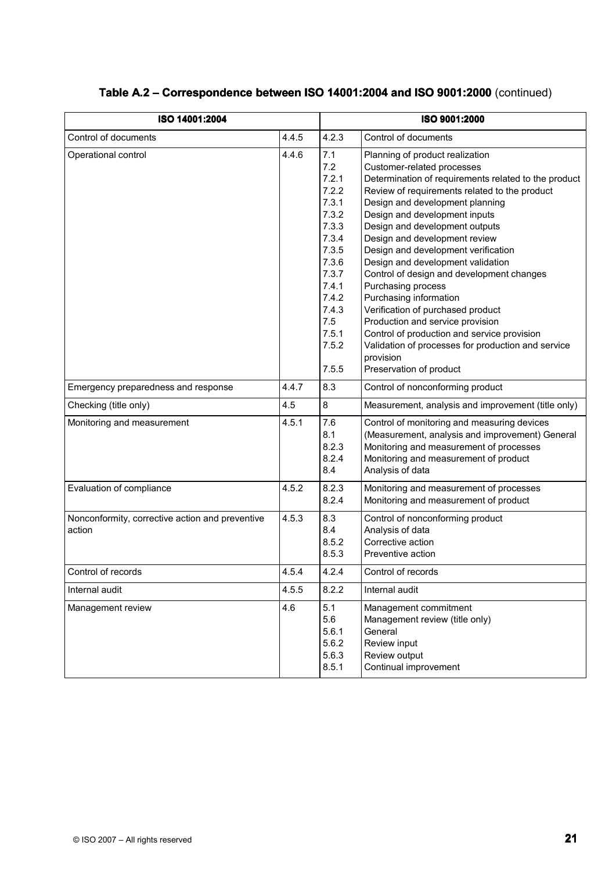| ISO 14001:2004                                            |       |                                                                                                                                                          | ISO 9001:2000                                                                                                                                                                                                                                                                                                                                                                                                                                                                                                                                                                                                                                                                                                |  |  |  |
|-----------------------------------------------------------|-------|----------------------------------------------------------------------------------------------------------------------------------------------------------|--------------------------------------------------------------------------------------------------------------------------------------------------------------------------------------------------------------------------------------------------------------------------------------------------------------------------------------------------------------------------------------------------------------------------------------------------------------------------------------------------------------------------------------------------------------------------------------------------------------------------------------------------------------------------------------------------------------|--|--|--|
| Control of documents                                      | 4.4.5 | 4.2.3                                                                                                                                                    | Control of documents                                                                                                                                                                                                                                                                                                                                                                                                                                                                                                                                                                                                                                                                                         |  |  |  |
| Operational control                                       | 4.4.6 | 7.1<br>7.2<br>7.2.1<br>7.2.2<br>7.3.1<br>7.3.2<br>7.3.3<br>7.3.4<br>7.3.5<br>7.3.6<br>7.3.7<br>7.4.1<br>7.4.2<br>7.4.3<br>7.5<br>7.5.1<br>7.5.2<br>7.5.5 | Planning of product realization<br>Customer-related processes<br>Determination of requirements related to the product<br>Review of requirements related to the product<br>Design and development planning<br>Design and development inputs<br>Design and development outputs<br>Design and development review<br>Design and development verification<br>Design and development validation<br>Control of design and development changes<br>Purchasing process<br>Purchasing information<br>Verification of purchased product<br>Production and service provision<br>Control of production and service provision<br>Validation of processes for production and service<br>provision<br>Preservation of product |  |  |  |
| Emergency preparedness and response                       | 4.4.7 | 8.3                                                                                                                                                      | Control of nonconforming product                                                                                                                                                                                                                                                                                                                                                                                                                                                                                                                                                                                                                                                                             |  |  |  |
| Checking (title only)                                     | 4.5   | 8                                                                                                                                                        | Measurement, analysis and improvement (title only)                                                                                                                                                                                                                                                                                                                                                                                                                                                                                                                                                                                                                                                           |  |  |  |
| Monitoring and measurement                                | 4.5.1 | 7.6<br>8.1<br>8.2.3<br>8.2.4<br>8.4                                                                                                                      | Control of monitoring and measuring devices<br>(Measurement, analysis and improvement) General<br>Monitoring and measurement of processes<br>Monitoring and measurement of product<br>Analysis of data                                                                                                                                                                                                                                                                                                                                                                                                                                                                                                       |  |  |  |
| Evaluation of compliance                                  | 4.5.2 | 8.2.3<br>8.2.4                                                                                                                                           | Monitoring and measurement of processes<br>Monitoring and measurement of product                                                                                                                                                                                                                                                                                                                                                                                                                                                                                                                                                                                                                             |  |  |  |
| Nonconformity, corrective action and preventive<br>action | 4.5.3 | 8.3<br>8.4<br>8.5.2<br>8.5.3                                                                                                                             | Control of nonconforming product<br>Analysis of data<br>Corrective action<br>Preventive action                                                                                                                                                                                                                                                                                                                                                                                                                                                                                                                                                                                                               |  |  |  |
| Control of records                                        | 4.5.4 | 4.2.4                                                                                                                                                    | Control of records                                                                                                                                                                                                                                                                                                                                                                                                                                                                                                                                                                                                                                                                                           |  |  |  |
| Internal audit                                            | 4.5.5 | 8.2.2                                                                                                                                                    | Internal audit                                                                                                                                                                                                                                                                                                                                                                                                                                                                                                                                                                                                                                                                                               |  |  |  |
| Management review                                         | 4.6   | 5.1<br>5.6<br>5.6.1<br>5.6.2<br>5.6.3<br>8.5.1                                                                                                           | Management commitment<br>Management review (title only)<br>General<br>Review input<br>Review output<br>Continual improvement                                                                                                                                                                                                                                                                                                                                                                                                                                                                                                                                                                                 |  |  |  |

## Table A.2 – Correspondence between ISO 14001:2004 and ISO 9001:2000  $\left(\textrm{continued}\right)$